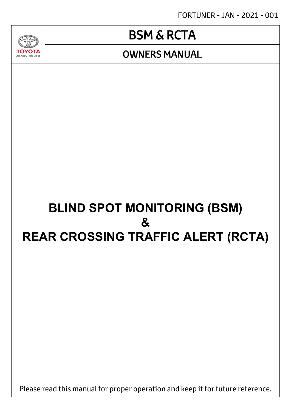FORTUNER - JAN - 2021 - 001

# BSM & RCTA

### OWNERS MANUAL

ALL ABOUT THE DRIV

# **BLIND SPOT MONITORING (BSM) & REAR CROSSING TRAFFIC ALERT (RCTA)**

Please read this manual for proper operation and keep it for future reference.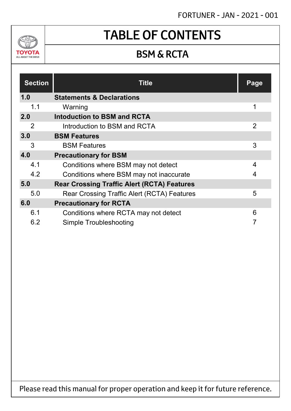### FORTUNER - JAN - 2021 - 001



# TABLE OF CONTENTS

### BSM & RCTA

| <b>Section</b> | <b>Title</b>                                       | Page           |
|----------------|----------------------------------------------------|----------------|
| 1.0            | <b>Statements &amp; Declarations</b>               |                |
| 1.1            | Warning                                            | 1              |
| 2.0            | Intoduction to BSM and RCTA                        |                |
| 2              | Introduction to BSM and RCTA                       | $\overline{2}$ |
| 3.0            | <b>BSM Features</b>                                |                |
| 3              | <b>BSM Features</b>                                | 3              |
| 4.0            | <b>Precautionary for BSM</b>                       |                |
| 4.1            | Conditions where BSM may not detect                | 4              |
| 4.2            | Conditions where BSM may not inaccurate            | 4              |
| 5.0            | <b>Rear Crossing Traffic Alert (RCTA) Features</b> |                |
| 5.0            | <b>Rear Crossing Traffic Alert (RCTA) Features</b> | 5              |
| 6.0            | <b>Precautionary for RCTA</b>                      |                |
| 6.1            | Conditions where RCTA may not detect               | 6              |
| 6.2            | Simple Troubleshooting                             | 7              |

Please read this manual for proper operation and keep it for future reference.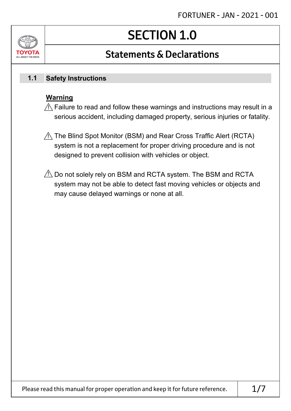# SECTION 1.0

### Statements & Declarations

#### **Safety Instructions 1.1**

#### **Warning**

 $\mathbin{\%}$  Failure to read and follow these warnings and instructions may result in a serious accident, including damaged property, serious injuries or fatality.

- $\mathbin{\mathbb N}$  The Blind Spot Monitor (BSM) and Rear Cross Traffic Alert (RCTA)  $^2$ system is not a replacement for proper driving procedure and is not designed to prevent collision with vehicles or object.
- $\mathbin{\vartriangle}$  Do not solely rely on BSM and RCTA system. The BSM and RCTA system may not be able to detect fast moving vehicles or objects and may cause delayed warnings or none at all.

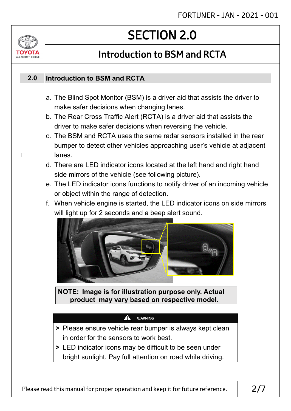# SECTION 2.0

# Introduction to BSM and RCTA

#### **Introduction to BSM and RCTA 2.0**

ALL ABOUT THE DRIV

- a. The Blind Spot Monitor (BSM) is a driver aid that assists the driver to make safer decisions when changing lanes.
- b. The Rear Cross Traffic Alert (RCTA) is a driver aid that assists the driver to make safer decisions when reversing the vehicle.
- c. The BSM and RCTA uses the same radar sensors installed in the rear bumper to detect other vehicles approaching user's vehicle at adjacent  $\Box$  lanes
	- d. There are LED indicator icons located at the left hand and right hand side mirrors of the vehicle (see following picture).
	- e. The LED indicator icons functions to notify driver of an incoming vehicle or object within the range of detection.
	- f. When vehicle engine is started, the LED indicator icons on side mirrors will light up for 2 seconds and a beep alert sound.



**NOTE: Image is for illustration purpose only. Actual product may vary based on respective model.**

#### WARNING

!

- **>** Please ensure vehicle rear bumper is always kept clean in order for the sensors to work best.
- **>** LED indicator icons may be difficult to be seen under bright sunlight. Pay full attention on road while driving.

Please read this manual for proper operation and keep it for future reference.  $\vert$  2/7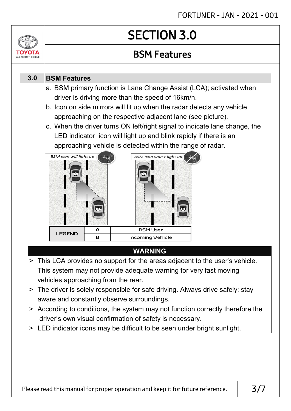# SECTION 3.0

### BSM Features

#### **BSM Features 3.0**

ALL ABOUT THE DRIVE

- a. BSM primary function is Lane Change Assist (LCA); activated when driver is driving more than the speed of 16km/h.
- b. Icon on side mirrors will lit up when the radar detects any vehicle approaching on the respective adjacent lane (see picture).
- c. When the driver turns ON left/right signal to indicate lane change, the LED indicator icon will light up and blink rapidly if there is an approaching vehicle is detected within the range of radar.



### **WARNING**

- > This LCA provides no support for the areas adjacent to the user's vehicle. This system may not provide adequate warning for very fast moving vehicles approaching from the rear.
- > The driver is solely responsible for safe driving. Always drive safely; stay aware and constantly observe surroundings.
- > According to conditions, the system may not function correctly therefore the driver's own visual confirmation of safety is necessary.
- > LED indicator icons may be difficult to be seen under bright sunlight.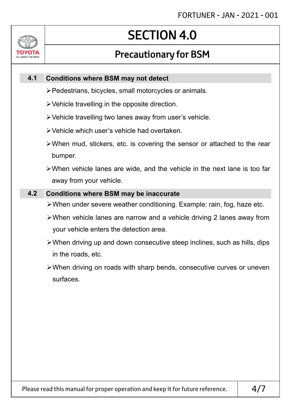# SECTION 4.0

### Precautionary for BSM

#### **Conditions where BSM may not detect 4.1**

ALL ABOUT THE DRIVE

- Pedestrians, bicycles, small motorcycles or animals.
- $\triangleright$  Vehicle travelling in the opposite direction.
- Vehicle travelling two lanes away from user's vehicle.
- Vehicle which user's vehicle had overtaken.
- When mud, stickers, etc. is covering the sensor or attached to the rear bumper.
- When vehicle lanes are wide, and the vehicle in the next lane is too far away from your vehicle.

#### **4.2 Conditions where BSM may be inaccurate**

- When under severe weather conditioning. Example: rain, fog, haze etc.
- When vehicle lanes are narrow and a vehicle driving 2 lanes away from your vehicle enters the detection area.
- When driving up and down consecutive steep inclines, such as hills, dips in the roads, etc.
- When driving on roads with sharp bends, consecutive curves or uneven surfaces.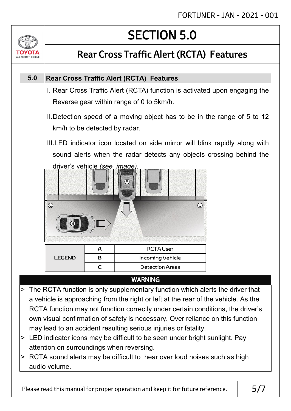# ALL ABOUT THE DRIVE

# SECTION 5.0

## Rear Cross Traffic Alert (RCTA) Features

#### **Rear Cross Traffic Alert (RCTA) Features 5.0**

- I. Rear Cross Traffic Alert (RCTA) function is activated upon engaging the Reverse gear within range of 0 to 5km/h.
- II.Detection speed of a moving object has to be in the range of 5 to 12 km/h to be detected by radar.
- III.LED indicator icon located on side mirror will blink rapidly along with sound alerts when the radar detects any objects crossing behind the driver's vehicle *(see image).*



### WARNING

- > The RCTA function is only supplementary function which alerts the driver that a vehicle is approaching from the right or left at the rear of the vehicle. As the RCTA function may not function correctly under certain conditions, the driver's own visual confirmation of safety is necessary. Over reliance on this function may lead to an accident resulting serious injuries or fatality.
- > LED indicator icons may be difficult to be seen under bright sunlight. Pay attention on surroundings when reversing.
- > RCTA sound alerts may be difficult to hear over loud noises such as high audio volume.

Please read this manual for proper operation and keep it for future reference.  $\vert$  5/7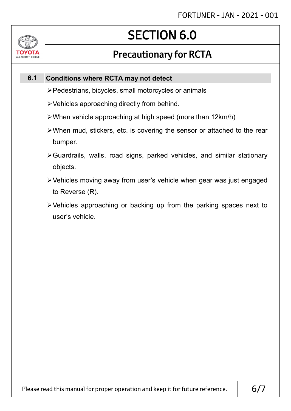# SECTION 6.0

### Precautionary for RCTA

#### **Conditions where RCTA may not detect 6.1**

 $\sqrt{2}$ 

OVOT. ALL ABOUT THE DRIVE

- Pedestrians, bicycles, small motorcycles or animals
- Vehicles approaching directly from behind.
- When vehicle approaching at high speed (more than 12km/h)
- When mud, stickers, etc. is covering the sensor or attached to the rear bumper.
- Guardrails, walls, road signs, parked vehicles, and similar stationary objects.
- Vehicles moving away from user's vehicle when gear was just engaged to Reverse (R).
- Vehicles approaching or backing up from the parking spaces next to user's vehicle.